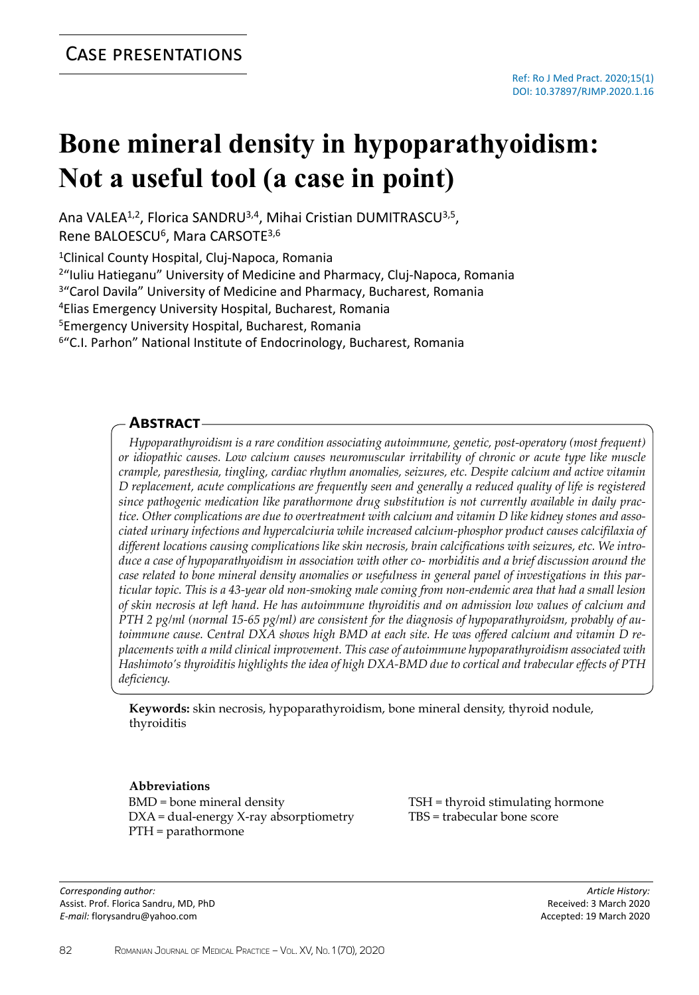# **Bone mineral density in hypoparathyoidism: Not a useful tool (a case in point)**

Ana VALEA<sup>1,2</sup>, Florica SANDRU<sup>3,4</sup>, Mihai Cristian DUMITRASCU<sup>3,5</sup>, Rene BALOESCU<sup>6</sup>, Mara CARSOTE<sup>3,6</sup>

<sup>1</sup>Clinical County Hospital, Cluj-Napoca, Romania

<sup>2</sup>"Iuliu Hatieganu" University of Medicine and Pharmacy, Cluj-Napoca, Romania

<sup>3</sup>"Carol Davila" University of Medicine and Pharmacy, Bucharest, Romania

<sup>4</sup>Elias Emergency University Hospital, Bucharest, Romania

<sup>5</sup>Emergency University Hospital, Bucharest, Romania

<sup>6"</sup>C.I. Parhon" National Institute of Endocrinology, Bucharest, Romania

## **Abstract**

*Hypoparathyroidism is a rare condition associating autoimmune, genetic, post-operatory (most frequent) or idiopathic causes. Low calcium causes neuromuscular irritability of chronic or acute type like muscle crample, paresthesia, tingling, cardiac rhythm anomalies, seizures, etc. Despite calcium and active vitamin D replacement, acute complications are frequently seen and generally a reduced quality of life is registered since pathogenic medication like parathormone drug substitution is not currently available in daily practice. Other complications are due to overtreatment with calcium and vitamin D like kidney stones and associated urinary infections and hypercalciuria while increased calcium-phosphor product causes calcifilaxia of different locations causing complications like skin necrosis, brain calcifications with seizures, etc. We introduce a case of hypoparathyoidism in association with other co- morbiditis and a brief discussion around the case related to bone mineral density anomalies or usefulness in general panel of investigations in this particular topic. This is a 43-year old non-smoking male coming from non-endemic area that had a small lesion of skin necrosis at left hand. He has autoimmune thyroiditis and on admission low values of calcium and PTH 2 pg/ml (normal 15-65 pg/ml) are consistent for the diagnosis of hypoparathyroidsm, probably of autoimmune cause. Central DXA shows high BMD at each site. He was offered calcium and vitamin D replacements with a mild clinical improvement. This case of autoimmune hypoparathyroidism associated with Hashimoto's thyroiditis highlights the idea of high DXA-BMD due to cortical and trabecular effects of PTH deficiency.*

**Keywords:** skin necrosis, hypoparathyroidism, bone mineral density, thyroid nodule, thyroiditis

## **Abbreviations**

BMD = bone mineral density DXA = dual-energy X-ray absorptiometry PTH = parathormone

*Corresponding author:* Assist. Prof. Florica Sandru, MD, PhD *E-mail:* florysandru@yahoo.com

TSH = thyroid stimulating hormone TBS = trabecular bone score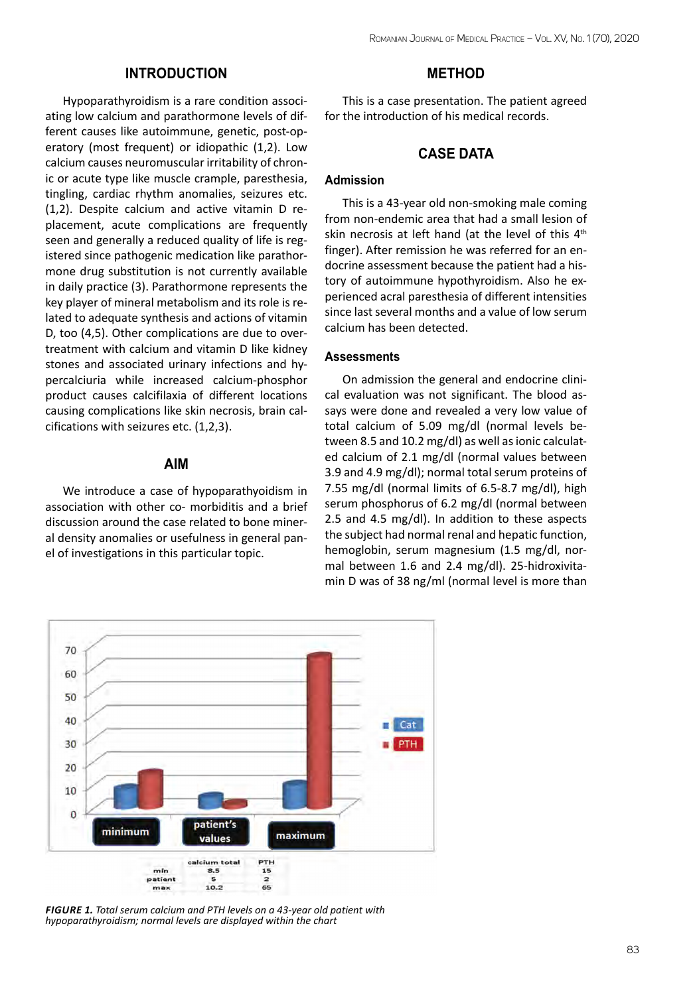# **INTRODUCTION**

Hypoparathyroidism is a rare condition associating low calcium and parathormone levels of different causes like autoimmune, genetic, post-operatory (most frequent) or idiopathic (1,2). Low calcium causes neuromuscular irritability of chronic or acute type like muscle crample, paresthesia, tingling, cardiac rhythm anomalies, seizures etc. (1,2). Despite calcium and active vitamin D replacement, acute complications are frequently seen and generally a reduced quality of life is registered since pathogenic medication like parathormone drug substitution is not currently available in daily practice (3). Parathormone represents the key player of mineral metabolism and its role is related to adequate synthesis and actions of vitamin D, too (4,5). Other complications are due to overtreatment with calcium and vitamin D like kidney stones and associated urinary infections and hypercalciuria while increased calcium-phosphor product causes calcifilaxia of different locations causing complications like skin necrosis, brain calcifications with seizures etc. (1,2,3).

## **AIM**

We introduce a case of hypoparathyoidism in association with other co- morbiditis and a brief discussion around the case related to bone mineral density anomalies or usefulness in general panel of investigations in this particular topic.

## **METHOD**

This is a case presentation. The patient agreed for the introduction of his medical records.

# **CASE DATA**

## **Admission**

This is a 43-year old non-smoking male coming from non-endemic area that had a small lesion of skin necrosis at left hand (at the level of this 4<sup>th</sup> finger). After remission he was referred for an endocrine assessment because the patient had a history of autoimmune hypothyroidism. Also he experienced acral paresthesia of different intensities since last several months and a value of low serum calcium has been detected.

## **Assessments**

On admission the general and endocrine clinical evaluation was not significant. The blood assays were done and revealed a very low value of total calcium of 5.09 mg/dl (normal levels between 8.5 and 10.2 mg/dl) as well as ionic calculated calcium of 2.1 mg/dl (normal values between 3.9 and 4.9 mg/dl); normal total serum proteins of 7.55 mg/dl (normal limits of 6.5-8.7 mg/dl), high serum phosphorus of 6.2 mg/dl (normal between 2.5 and 4.5 mg/dl). In addition to these aspects the subject had normal renal and hepatic function, hemoglobin, serum magnesium (1.5 mg/dl, normal between 1.6 and 2.4 mg/dl). 25-hidroxivitamin D was of 38 ng/ml (normal level is more than



*Figure 1. Total serum calcium and PTH levels on a 43-year old patient with hypoparathyroidism; normal levels are displayed within the chart*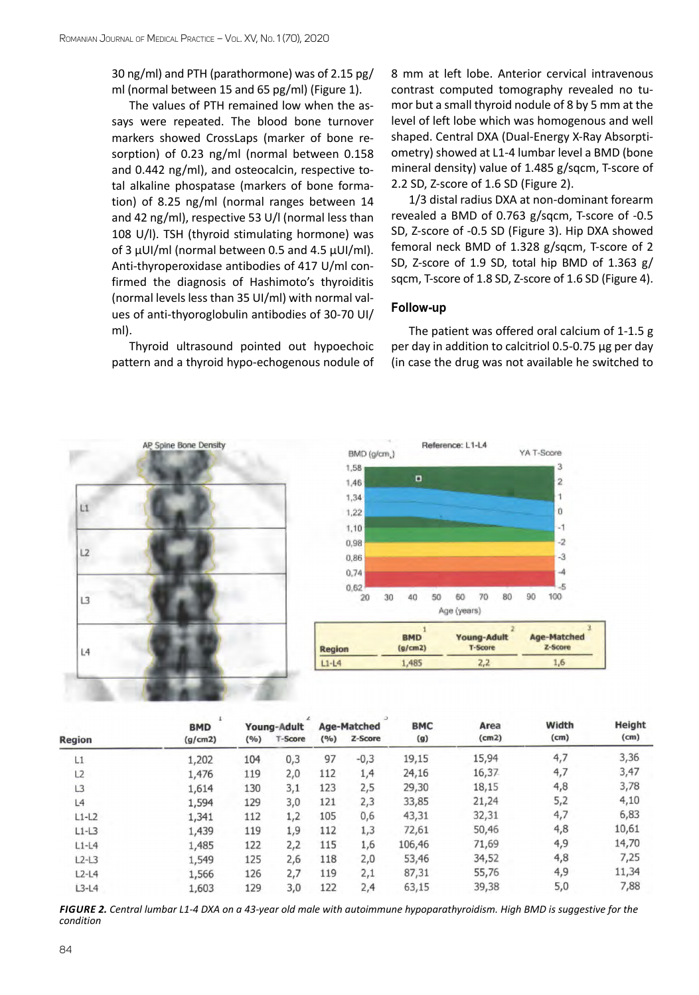30 ng/ml) and PTH (parathormone) was of 2.15 pg/ ml (normal between 15 and 65 pg/ml) (Figure 1).

The values of PTH remained low when the assays were repeated. The blood bone turnover markers showed CrossLaps (marker of bone resorption) of 0.23 ng/ml (normal between 0.158 and 0.442 ng/ml), and osteocalcin, respective total alkaline phospatase (markers of bone formation) of 8.25 ng/ml (normal ranges between 14 and 42 ng/ml), respective 53 U/l (normal less than 108 U/l). TSH (thyroid stimulating hormone) was of 3 µUI/ml (normal between 0.5 and 4.5 µUI/ml). Anti-thyroperoxidase antibodies of 417 U/ml confirmed the diagnosis of Hashimoto's thyroiditis (normal levels less than 35 UI/ml) with normal values of anti-thyoroglobulin antibodies of 30-70 UI/ ml).

Thyroid ultrasound pointed out hypoechoic pattern and a thyroid hypo-echogenous nodule of 8 mm at left lobe. Anterior cervical intravenous contrast computed tomography revealed no tumor but a small thyroid nodule of 8 by 5 mm at the level of left lobe which was homogenous and well shaped. Central DXA (Dual-Energy X-Ray Absorptiometry) showed at L1-4 lumbar level a BMD (bone mineral density) value of 1.485 g/sqcm, T-score of 2.2 SD, Z-score of 1.6 SD (Figure 2).

1/3 distal radius DXA at non-dominant forearm revealed a BMD of 0.763 g/sqcm, T-score of -0.5 SD, Z-score of -0.5 SD (Figure 3). Hip DXA showed femoral neck BMD of 1.328 g/sqcm, T-score of 2 SD, Z-score of 1.9 SD, total hip BMD of 1.363 g/ sqcm, T-score of 1.8 SD, Z-score of 1.6 SD (Figure 4).

#### **Follow-up**

The patient was offered oral calcium of 1-1.5 g per day in addition to calcitriol 0.5-0.75 µg per day (in case the drug was not available he switched to





| <b>Region</b>  | <b>BMD</b><br>(g/cm2) | Young-Adult |         | <b>Age-Matched</b> |         | <b>BMC</b> | Area  | Width | Height |
|----------------|-----------------------|-------------|---------|--------------------|---------|------------|-------|-------|--------|
|                |                       | (°/°)       | T-Score | (9/6)              | Z-Score | (g)        | (cm2) | (cm)  | (cm)   |
| L1             | 1,202                 | 104         | 0,3     | 97                 | $-0,3$  | 19,15      | 15,94 | 4,7   | 3,36   |
| L2             | 1,476                 | 119         | 2,0     | 112                | 1,4     | 24,16      | 16,37 | 4,7   | 3,47   |
| L <sub>3</sub> | 1,614                 | 130         | 3,1     | 123                | 2,5     | 29,30      | 18,15 | 4,8   | 3,78   |
| L4             | 1,594                 | 129         | 3,0     | 121                | 2,3     | 33,85      | 21,24 | 5,2   | 4,10   |
| $L1-L2$        | 1,341                 | 112         | 1,2     | 105                | 0,6     | 43,31      | 32,31 | 4,7   | 6,83   |
| $L1-L3$        | 1,439                 | 119         | 1,9     | 112                | 1,3     | 72,61      | 50,46 | 4,8   | 10,61  |
| $L1-L4$        | 1,485                 | 122         | 2,2     | 115                | 1,6     | 106,46     | 71,69 | 4,9   | 14,70  |
| $L2-L3$        | 1,549                 | 125         | 2,6     | 118                | 2,0     | 53,46      | 34,52 | 4,8   | 7,25   |
| $L2-L4$        | 1,566                 | 126         | 2,7     | 119                | 2,1     | 87,31      | 55,76 | 4,9   | 11,34  |
| $L3-L4$        | 1,603                 | 129         | 3,0     | 122                | 2,4     | 63,15      | 39,38 | 5,0   | 7,88   |

*Figure 2. Central lumbar L1-4 DXA on a 43-year old male with autoimmune hypoparathyroidism. High BMD is suggestive for the condition*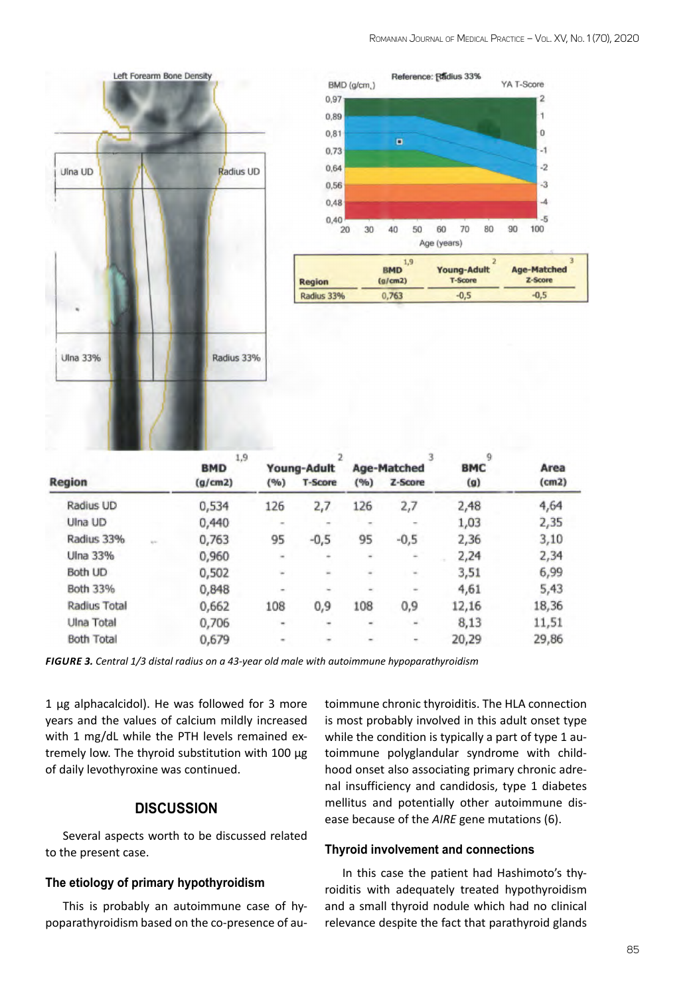



|                     |      | 1,9<br><b>BMD</b> |                | Young-Adult |                          | Age-Matched | 9<br><b>BMC</b> | Area  |
|---------------------|------|-------------------|----------------|-------------|--------------------------|-------------|-----------------|-------|
| Region              |      | (g/cm2)           | (96)           | T-Score     | (96)                     | Z-Score     | $(g)$           | (cm2) |
| Radius UD           |      | 0,534             | 126            | 2,7         | 126                      | 2,7         | 2,48            | 4,64  |
| Ulna UD             |      | 0,440             | $\sim$         | $\equiv$    | ×                        | $\sim$      | 1,03            | 2,35  |
| Radius 33%          | kin. | 0,763             | 95             | $-0,5$      | 95                       | $-0,5$      | 2,36            | 3,10  |
| Ulna 33%            |      | 0,960             | $\blacksquare$ | ÷           | $\overline{\phantom{a}}$ | -           | 2,24            | 2,34  |
| Both UD             |      | 0,502             | $\equiv$       | ٠           | $\equiv$                 | $\equiv$    | 3,51            | 6,99  |
| Both 33%            |      | 0,848             | ۰              |             | ۰                        | ۰           | 4,61            | 5,43  |
| <b>Radius Total</b> |      | 0,662             | 108            | 0,9         | 108                      | 0,9         | 12,16           | 18,36 |
| Ulna Total          |      | 0,706             | ۰              | ٠           | ۰                        | ۰           | 8,13            | 11,51 |
| <b>Both Total</b>   |      | 0,679             | $\equiv$       | ۰           |                          | ۳           | 20,29           | 29,86 |

*Figure 3. Central 1/3 distal radius on a 43-year old male with autoimmune hypoparathyroidism*

1 µg alphacalcidol). He was followed for 3 more years and the values of calcium mildly increased with 1 mg/dL while the PTH levels remained extremely low. The thyroid substitution with 100 µg of daily levothyroxine was continued.

# **DISCUSSION**

Several aspects worth to be discussed related to the present case.

#### **The etiology of primary hypothyroidism**

This is probably an autoimmune case of hypoparathyroidism based on the co-presence of autoimmune chronic thyroiditis. The HLA connection is most probably involved in this adult onset type while the condition is typically a part of type 1 autoimmune polyglandular syndrome with childhood onset also associating primary chronic adrenal insufficiency and candidosis, type 1 diabetes mellitus and potentially other autoimmune disease because of the *AIRE* gene mutations (6).

#### **Thyroid involvement and connections**

In this case the patient had Hashimoto's thyroiditis with adequately treated hypothyroidism and a small thyroid nodule which had no clinical relevance despite the fact that parathyroid glands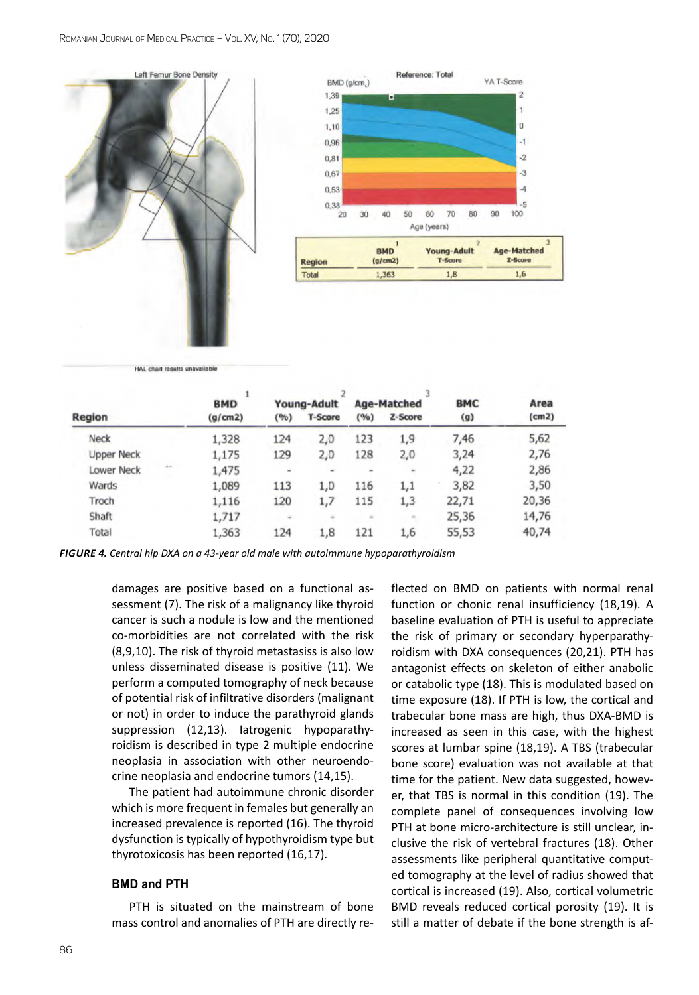



HAL chart results unavailable

|                            | <b>BMD</b> |       | Young-Adult    |       | Age-Matched | <b>BMC</b><br>(g) | Area<br>(cm2) |
|----------------------------|------------|-------|----------------|-------|-------------|-------------------|---------------|
| Region                     | (g/cm2)    | (9/6) | <b>T-Score</b> | (9/6) | Z-Score     |                   |               |
| Neck                       | 1,328      | 124   | 2,0            | 123   | 1,9         | 7,46              | 5,62          |
| <b>Upper Neck</b>          | 1,175      | 129   | 2,0            | 128   | 2,0         | 3,24              | 2,76          |
| $4 -$<br><b>Lower Neck</b> | 1,475      | ۰     | ۰              |       | ٠           | 4,22              | 2,86          |
| Wards                      | 1,089      | 113   | 1,0            | 116   | 1,1         | 3,82              | 3,50          |
| Troch                      | 1,116      | 120   | 1,7            | 115   | 1,3         | 22,71             | 20,36         |
| Shaft                      | 1,717      | ۰     | ÷              | ۰     |             | 25,36             | 14,76         |
| Total                      | 1,363      | 124   | 1,8            | 121   | 1,6         | 55,53             | 40,74         |

*Figure 4. Central hip DXA on a 43-year old male with autoimmune hypoparathyroidism*

damages are positive based on a functional assessment (7). The risk of a malignancy like thyroid cancer is such a nodule is low and the mentioned co-morbidities are not correlated with the risk (8,9,10). The risk of thyroid metastasiss is also low unless disseminated disease is positive (11). We perform a computed tomography of neck because of potential risk of infiltrative disorders (malignant or not) in order to induce the parathyroid glands suppression (12,13). Iatrogenic hypoparathyroidism is described in type 2 multiple endocrine neoplasia in association with other neuroendocrine neoplasia and endocrine tumors (14,15).

The patient had autoimmune chronic disorder which is more frequent in females but generally an increased prevalence is reported (16). The thyroid dysfunction is typically of hypothyroidism type but thyrotoxicosis has been reported (16,17).

#### **BMD and PTH**

PTH is situated on the mainstream of bone mass control and anomalies of PTH are directly reflected on BMD on patients with normal renal function or chonic renal insufficiency (18,19). A baseline evaluation of PTH is useful to appreciate the risk of primary or secondary hyperparathyroidism with DXA consequences (20,21). PTH has antagonist effects on skeleton of either anabolic or catabolic type (18). This is modulated based on time exposure (18). If PTH is low, the cortical and trabecular bone mass are high, thus DXA-BMD is increased as seen in this case, with the highest scores at lumbar spine (18,19). A TBS (trabecular bone score) evaluation was not available at that time for the patient. New data suggested, however, that TBS is normal in this condition (19). The complete panel of consequences involving low PTH at bone micro-architecture is still unclear, inclusive the risk of vertebral fractures (18). Other assessments like peripheral quantitative computed tomography at the level of radius showed that cortical is increased (19). Also, cortical volumetric BMD reveals reduced cortical porosity (19). It is still a matter of debate if the bone strength is af